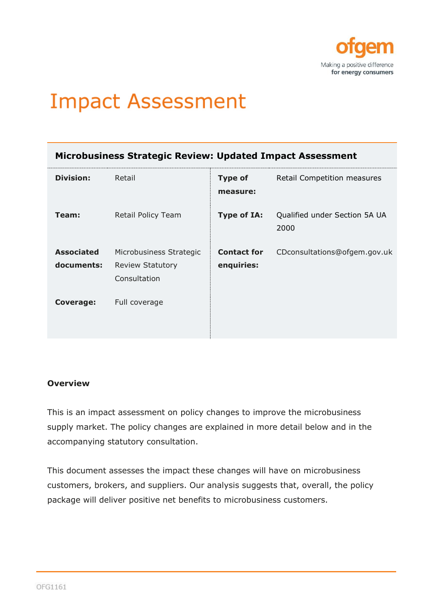

# **Impact Assessment**

|  | Microbusiness Strategic Review: Updated Impact Assessment |  |  |
|--|-----------------------------------------------------------|--|--|
|--|-----------------------------------------------------------|--|--|

| <b>Division:</b>                | Retail                                                             | <b>Type of</b><br>measure:       | Retail Competition measures           |
|---------------------------------|--------------------------------------------------------------------|----------------------------------|---------------------------------------|
| Team:                           | Retail Policy Team                                                 | <b>Type of IA:</b>               | Qualified under Section 5A UA<br>2000 |
| <b>Associated</b><br>documents: | Microbusiness Strategic<br><b>Review Statutory</b><br>Consultation | <b>Contact for</b><br>enquiries: | CDconsultations@ofgem.gov.uk          |
| <b>Coverage:</b>                | Full coverage                                                      |                                  |                                       |

#### **Overview**

This is an impact assessment on policy changes to improve the microbusiness supply market. The policy changes are explained in more detail below and in the accompanying statutory consultation.

This document assesses the impact these changes will have on microbusiness customers, brokers, and suppliers. Our analysis suggests that, overall, the policy package will deliver positive net benefits to microbusiness customers.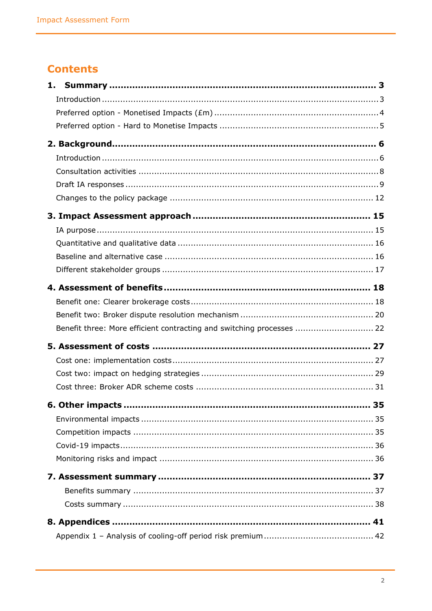# **Contents**

| Benefit three: More efficient contracting and switching processes  22 |  |
|-----------------------------------------------------------------------|--|
|                                                                       |  |
|                                                                       |  |
|                                                                       |  |
|                                                                       |  |
|                                                                       |  |
|                                                                       |  |
|                                                                       |  |
|                                                                       |  |
|                                                                       |  |
|                                                                       |  |
|                                                                       |  |
|                                                                       |  |
|                                                                       |  |
|                                                                       |  |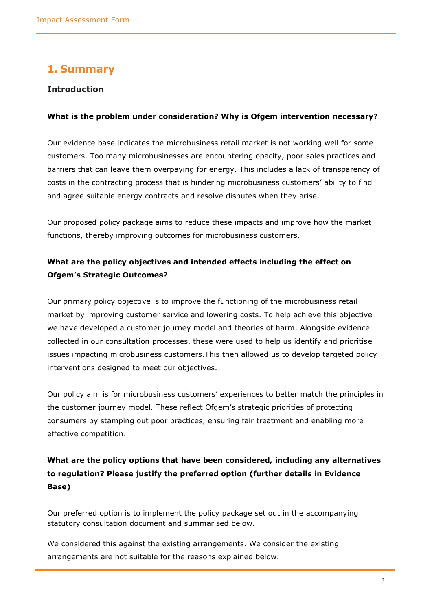### <span id="page-2-0"></span>**1. Summary**

#### <span id="page-2-1"></span>**Introduction**

#### **What is the problem under consideration? Why is Ofgem intervention necessary?**

Our evidence base indicates the microbusiness retail market is not working well for some customers. Too many microbusinesses are encountering opacity, poor sales practices and barriers that can leave them overpaying for energy. This includes a lack of transparency of costs in the contracting process that is hindering microbusiness customers' ability to find and agree suitable energy contracts and resolve disputes when they arise.

Our proposed policy package aims to reduce these impacts and improve how the market functions, thereby improving outcomes for microbusiness customers.

### **What are the policy objectives and intended effects including the effect on Ofgem's Strategic Outcomes?**

Our primary policy objective is to improve the functioning of the microbusiness retail market by improving customer service and lowering costs. To help achieve this objective we have developed a customer journey model and theories of harm. Alongside evidence collected in our consultation processes, these were used to help us identify and prioritise issues impacting microbusiness customers.This then allowed us to develop targeted policy interventions designed to meet our objectives.

Our policy aim is for microbusiness customers' experiences to better match the principles in the customer journey model. These reflect Ofgem's strategic priorities of protecting consumers by stamping out poor practices, ensuring fair treatment and enabling more effective competition.

### **What are the policy options that have been considered, including any alternatives to regulation? Please justify the preferred option (further details in Evidence Base)**

Our preferred option is to implement the policy package set out in the accompanying statutory consultation document and summarised below.

We considered this against the existing arrangements. We consider the existing arrangements are not suitable for the reasons explained below.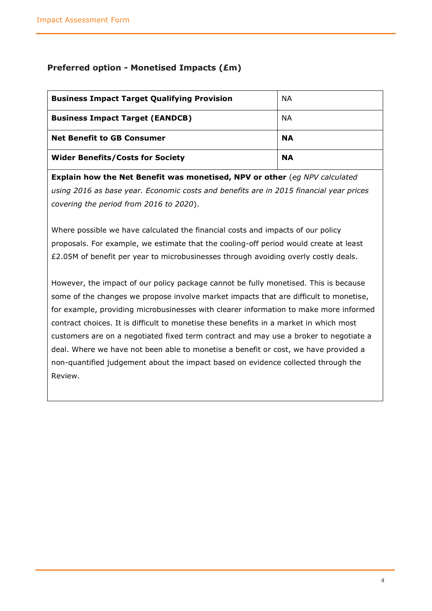#### <span id="page-3-0"></span>**Preferred option - Monetised Impacts (£m)**

| <b>Business Impact Target Qualifying Provision</b> | NA.       |
|----------------------------------------------------|-----------|
| <b>Business Impact Target (EANDCB)</b>             | ΝA        |
| <b>Net Benefit to GB Consumer</b>                  | <b>NA</b> |
| <b>Wider Benefits/Costs for Society</b>            | <b>NA</b> |

**Explain how the Net Benefit was monetised, NPV or other** (*eg NPV calculated using 2016 as base year. Economic costs and benefits are in 2015 financial year prices covering the period from 2016 to 2020*).

Where possible we have calculated the financial costs and impacts of our policy proposals. For example, we estimate that the cooling-off period would create at least £2.05M of benefit per year to microbusinesses through avoiding overly costly deals.

However, the impact of our policy package cannot be fully monetised. This is because some of the changes we propose involve market impacts that are difficult to monetise, for example, providing microbusinesses with clearer information to make more informed contract choices. It is difficult to monetise these benefits in a market in which most customers are on a negotiated fixed term contract and may use a broker to negotiate a deal. Where we have not been able to monetise a benefit or cost, we have provided a non-quantified judgement about the impact based on evidence collected through the Review.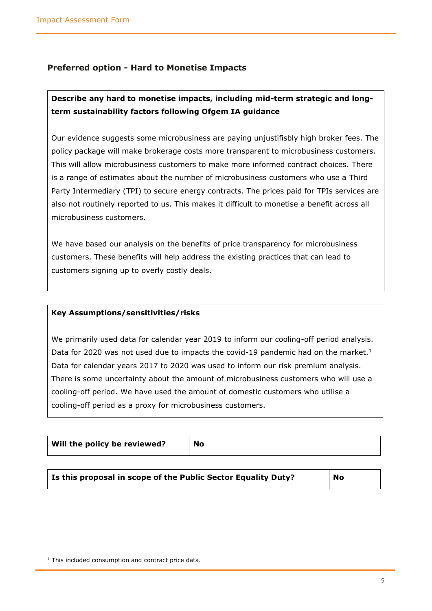#### <span id="page-4-0"></span>**Preferred option - Hard to Monetise Impacts**

### **Describe any hard to monetise impacts, including mid-term strategic and longterm sustainability factors following Ofgem IA guidance**

Our evidence suggests some microbusiness are paying unjustifisbly high broker fees. The policy package will make brokerage costs more transparent to microbusiness customers. This will allow microbusiness customers to make more informed contract choices. There is a range of estimates about the number of microbusiness customers who use a Third Party Intermediary (TPI) to secure energy contracts. The prices paid for TPIs services are also not routinely reported to us. This makes it difficult to monetise a benefit across all microbusiness customers.

We have based our analysis on the benefits of price transparency for microbusiness customers. These benefits will help address the existing practices that can lead to customers signing up to overly costly deals.

#### **Key Assumptions/sensitivities/risks**

We primarily used data for calendar year 2019 to inform our cooling-off period analysis. Data for 2020 was not used due to impacts the covid-19 pandemic had on the market.<sup>1</sup> Data for calendar years 2017 to 2020 was used to inform our risk premium analysis. There is some uncertainty about the amount of microbusiness customers who will use a cooling-off period. We have used the amount of domestic customers who utilise a cooling-off period as a proxy for microbusiness customers.

| Will the policy be reviewed? | <b>No</b> |
|------------------------------|-----------|
|------------------------------|-----------|

 $1$  This included consumption and contract price data.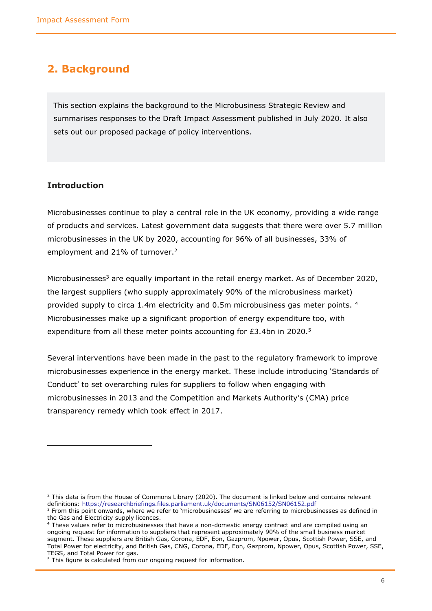### <span id="page-5-0"></span>**2. Background**

This section explains the background to the Microbusiness Strategic Review and summarises responses to the Draft Impact Assessment published in July 2020. It also sets out our proposed package of policy interventions.

#### <span id="page-5-1"></span>**Introduction**

Microbusinesses continue to play a central role in the UK economy, providing a wide range of products and services. Latest government data suggests that there were over 5.7 million microbusinesses in the UK by 2020, accounting for 96% of all businesses, 33% of employment and 21% of turnover. 2

Microbusinesses<sup>3</sup> are equally important in the retail energy market. As of December 2020, the largest suppliers (who supply approximately 90% of the microbusiness market) provided supply to circa 1.4m electricity and 0.5m microbusiness gas meter points. <sup>4</sup> Microbusinesses make up a significant proportion of energy expenditure too, with expenditure from all these meter points accounting for £3.4bn in 2020.<sup>5</sup>

Several interventions have been made in the past to the regulatory framework to improve microbusinesses experience in the energy market. These include introducing 'Standards of Conduct' to set overarching rules for suppliers to follow when engaging with microbusinesses in 2013 and the Competition and Markets Authority's (CMA) price transparency remedy which took effect in 2017.

 $<sup>2</sup>$  This data is from the House of Commons Library (2020). The document is linked below and contains relevant</sup> definitions:<https://researchbriefings.files.parliament.uk/documents/SN06152/SN06152.pdf>

<sup>&</sup>lt;sup>3</sup> From this point onwards, where we refer to 'microbusinesses' we are referring to microbusinesses as defined in the Gas and Electricity supply licences.

<sup>&</sup>lt;sup>4</sup> These values refer to microbusinesses that have a non-domestic energy contract and are compiled using an ongoing request for information to suppliers that represent approximately 90% of the small business market segment. These suppliers are British Gas, Corona, EDF, Eon, Gazprom, Npower, Opus, Scottish Power, SSE, and Total Power for electricity, and British Gas, CNG, Corona, EDF, Eon, Gazprom, Npower, Opus, Scottish Power, SSE, TEGS, and Total Power for gas.

<sup>&</sup>lt;sup>5</sup> This figure is calculated from our ongoing request for information.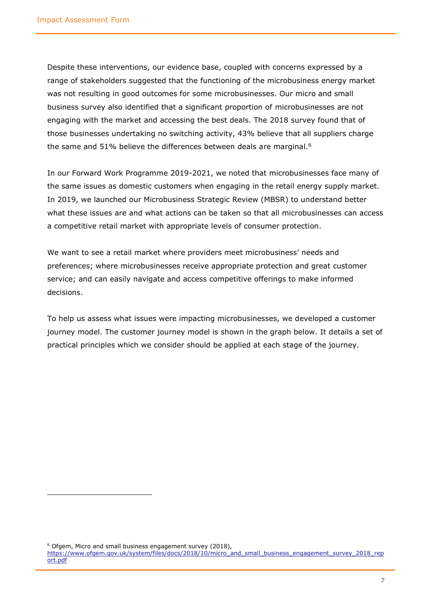Despite these interventions, our evidence base, coupled with concerns expressed by a range of stakeholders suggested that the functioning of the microbusiness energy market was not resulting in good outcomes for some microbusinesses. Our micro and small business survey also identified that a significant proportion of microbusinesses are not engaging with the market and accessing the best deals. The 2018 survey found that of those businesses undertaking no switching activity, 43% believe that all suppliers charge the same and 51% believe the differences between deals are marginal.<sup>6</sup>

In our Forward Work Programme 2019-2021, we noted that microbusinesses face many of the same issues as domestic customers when engaging in the retail energy supply market. In 2019, we launched our Microbusiness Strategic Review (MBSR) to understand better what these issues are and what actions can be taken so that all microbusinesses can access a competitive retail market with appropriate levels of consumer protection.

We want to see a retail market where providers meet microbusiness' needs and preferences; where microbusinesses receive appropriate protection and great customer service; and can easily navigate and access competitive offerings to make informed decisions.

To help us assess what issues were impacting microbusinesses, we developed a customer journey model. The customer journey model is shown in the graph below. It details a set of practical principles which we consider should be applied at each stage of the journey.

<sup>6</sup> Ofgem, Micro and small business engagement survey (2018), [https://www.ofgem.gov.uk/system/files/docs/2018/10/micro\\_and\\_small\\_business\\_engagement\\_survey\\_2018\\_rep](https://www.ofgem.gov.uk/system/files/docs/2018/10/micro_and_small_business_engagement_survey_2018_report.pdf) [ort.pdf](https://www.ofgem.gov.uk/system/files/docs/2018/10/micro_and_small_business_engagement_survey_2018_report.pdf)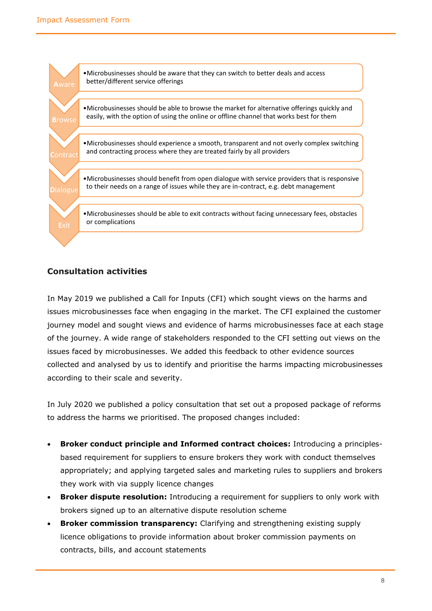

#### <span id="page-7-0"></span>**Consultation activities**

In May 2019 we published a Call for Inputs (CFI) which sought views on the harms and issues microbusinesses face when engaging in the market. The CFI explained the customer journey model and sought views and evidence of harms microbusinesses face at each stage of the journey. A wide range of stakeholders responded to the CFI setting out views on the issues faced by microbusinesses. We added this feedback to other evidence sources collected and analysed by us to identify and prioritise the harms impacting microbusinesses according to their scale and severity.

In July 2020 we published a policy consultation that set out a proposed package of reforms to address the harms we prioritised. The proposed changes included:

- **Broker conduct principle and Informed contract choices:** Introducing a principlesbased requirement for suppliers to ensure brokers they work with conduct themselves appropriately; and applying targeted sales and marketing rules to suppliers and brokers they work with via supply licence changes
- **Broker dispute resolution:** Introducing a requirement for suppliers to only work with brokers signed up to an alternative dispute resolution scheme
- **Broker commission transparency:** Clarifying and strengthening existing supply licence obligations to provide information about broker commission payments on contracts, bills, and account statements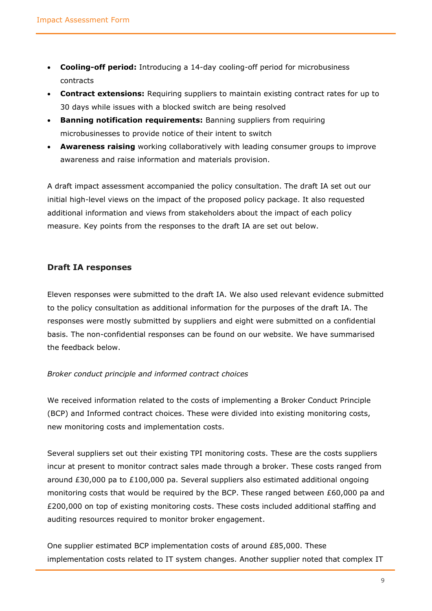- **Cooling-off period:** Introducing a 14-day cooling-off period for microbusiness contracts
- **Contract extensions:** Requiring suppliers to maintain existing contract rates for up to 30 days while issues with a blocked switch are being resolved
- **Banning notification requirements:** Banning suppliers from requiring microbusinesses to provide notice of their intent to switch
- **Awareness raising** working collaboratively with leading consumer groups to improve awareness and raise information and materials provision.

A draft impact assessment accompanied the policy consultation. The draft IA set out our initial high-level views on the impact of the proposed policy package. It also requested additional information and views from stakeholders about the impact of each policy measure. Key points from the responses to the draft IA are set out below.

#### <span id="page-8-0"></span>**Draft IA responses**

Eleven responses were submitted to the draft IA. We also used relevant evidence submitted to the policy consultation as additional information for the purposes of the draft IA. The responses were mostly submitted by suppliers and eight were submitted on a confidential basis. The non-confidential responses can be found on our website. We have summarised the feedback below.

#### *Broker conduct principle and informed contract choices*

We received information related to the costs of implementing a Broker Conduct Principle (BCP) and Informed contract choices. These were divided into existing monitoring costs, new monitoring costs and implementation costs.

Several suppliers set out their existing TPI monitoring costs. These are the costs suppliers incur at present to monitor contract sales made through a broker. These costs ranged from around £30,000 pa to £100,000 pa. Several suppliers also estimated additional ongoing monitoring costs that would be required by the BCP. These ranged between  $£60,000$  pa and £200,000 on top of existing monitoring costs. These costs included additional staffing and auditing resources required to monitor broker engagement.

One supplier estimated BCP implementation costs of around £85,000. These implementation costs related to IT system changes. Another supplier noted that complex IT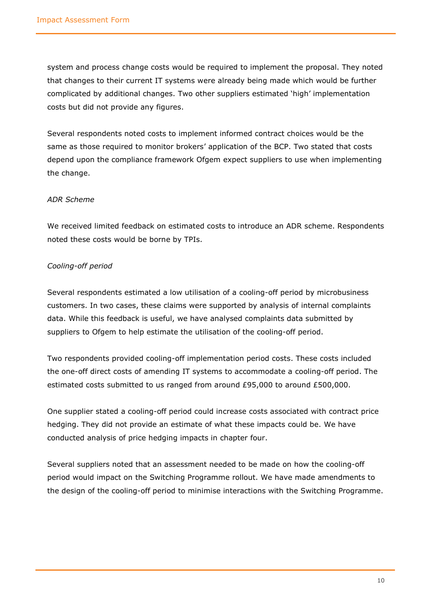system and process change costs would be required to implement the proposal. They noted that changes to their current IT systems were already being made which would be further complicated by additional changes. Two other suppliers estimated 'high' implementation costs but did not provide any figures.

Several respondents noted costs to implement informed contract choices would be the same as those required to monitor brokers' application of the BCP. Two stated that costs depend upon the compliance framework Ofgem expect suppliers to use when implementing the change.

#### *ADR Scheme*

We received limited feedback on estimated costs to introduce an ADR scheme. Respondents noted these costs would be borne by TPIs.

#### *Cooling-off period*

Several respondents estimated a low utilisation of a cooling-off period by microbusiness customers. In two cases, these claims were supported by analysis of internal complaints data. While this feedback is useful, we have analysed complaints data submitted by suppliers to Ofgem to help estimate the utilisation of the cooling-off period.

Two respondents provided cooling-off implementation period costs. These costs included the one-off direct costs of amending IT systems to accommodate a cooling-off period. The estimated costs submitted to us ranged from around £95,000 to around £500,000.

One supplier stated a cooling-off period could increase costs associated with contract price hedging. They did not provide an estimate of what these impacts could be. We have conducted analysis of price hedging impacts in chapter four.

Several suppliers noted that an assessment needed to be made on how the cooling-off period would impact on the Switching Programme rollout. We have made amendments to the design of the cooling-off period to minimise interactions with the Switching Programme.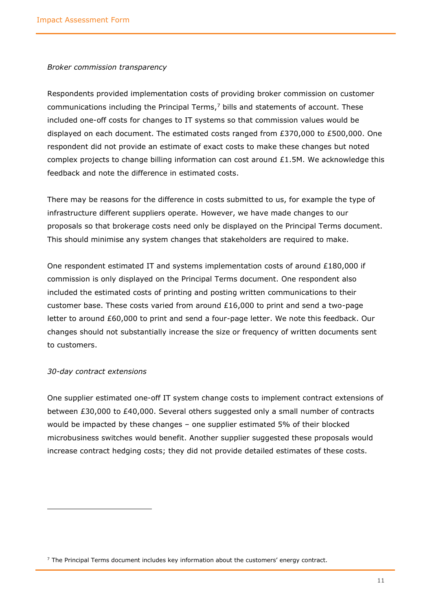#### *Broker commission transparency*

Respondents provided implementation costs of providing broker commission on customer communications including the Principal Terms, $<sup>7</sup>$  bills and statements of account. These</sup> included one-off costs for changes to IT systems so that commission values would be displayed on each document. The estimated costs ranged from £370,000 to £500,000. One respondent did not provide an estimate of exact costs to make these changes but noted complex projects to change billing information can cost around  $£1.5M$ . We acknowledge this feedback and note the difference in estimated costs.

There may be reasons for the difference in costs submitted to us, for example the type of infrastructure different suppliers operate. However, we have made changes to our proposals so that brokerage costs need only be displayed on the Principal Terms document. This should minimise any system changes that stakeholders are required to make.

One respondent estimated IT and systems implementation costs of around £180,000 if commission is only displayed on the Principal Terms document. One respondent also included the estimated costs of printing and posting written communications to their customer base. These costs varied from around £16,000 to print and send a two-page letter to around £60,000 to print and send a four-page letter. We note this feedback. Our changes should not substantially increase the size or frequency of written documents sent to customers.

#### *30-day contract extensions*

One supplier estimated one-off IT system change costs to implement contract extensions of between £30,000 to £40,000. Several others suggested only a small number of contracts would be impacted by these changes – one supplier estimated 5% of their blocked microbusiness switches would benefit. Another supplier suggested these proposals would increase contract hedging costs; they did not provide detailed estimates of these costs.

 $<sup>7</sup>$  The Principal Terms document includes key information about the customers' energy contract.</sup>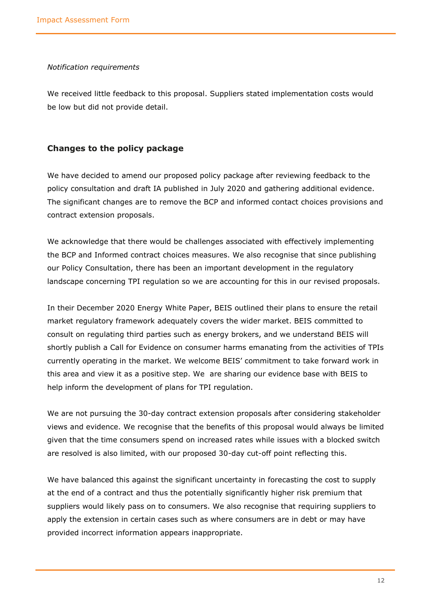#### *Notification requirements*

We received little feedback to this proposal. Suppliers stated implementation costs would be low but did not provide detail.

#### <span id="page-11-0"></span>**Changes to the policy package**

We have decided to amend our proposed policy package after reviewing feedback to the policy consultation and draft IA published in July 2020 and gathering additional evidence. The significant changes are to remove the BCP and informed contact choices provisions and contract extension proposals.

We acknowledge that there would be challenges associated with effectively implementing the BCP and Informed contract choices measures. We also recognise that since publishing our Policy Consultation, there has been an important development in the regulatory landscape concerning TPI regulation so we are accounting for this in our revised proposals.

In their December 2020 Energy White Paper, BEIS outlined their plans to ensure the retail market regulatory framework adequately covers the wider market. BEIS committed to consult on regulating third parties such as energy brokers, and we understand BEIS will shortly publish a Call for Evidence on consumer harms emanating from the activities of TPIs currently operating in the market. We welcome BEIS' commitment to take forward work in this area and view it as a positive step. We are sharing our evidence base with BEIS to help inform the development of plans for TPI regulation.

We are not pursuing the 30-day contract extension proposals after considering stakeholder views and evidence. We recognise that the benefits of this proposal would always be limited given that the time consumers spend on increased rates while issues with a blocked switch are resolved is also limited, with our proposed 30-day cut-off point reflecting this.

We have balanced this against the significant uncertainty in forecasting the cost to supply at the end of a contract and thus the potentially significantly higher risk premium that suppliers would likely pass on to consumers. We also recognise that requiring suppliers to apply the extension in certain cases such as where consumers are in debt or may have provided incorrect information appears inappropriate.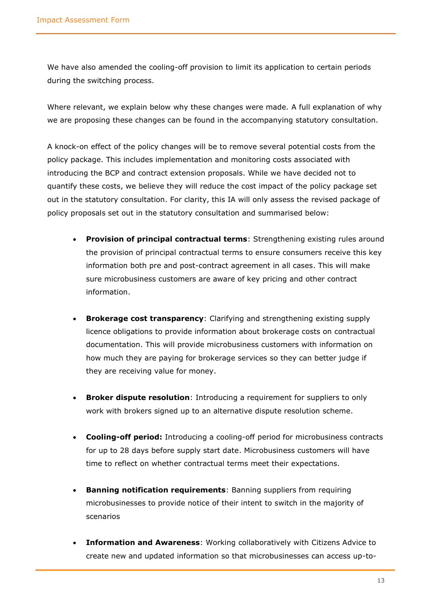We have also amended the cooling-off provision to limit its application to certain periods during the switching process.

Where relevant, we explain below why these changes were made. A full explanation of why we are proposing these changes can be found in the accompanying statutory consultation.

A knock-on effect of the policy changes will be to remove several potential costs from the policy package. This includes implementation and monitoring costs associated with introducing the BCP and contract extension proposals. While we have decided not to quantify these costs, we believe they will reduce the cost impact of the policy package set out in the statutory consultation. For clarity, this IA will only assess the revised package of policy proposals set out in the statutory consultation and summarised below:

- **Provision of principal contractual terms**: Strengthening existing rules around the provision of principal contractual terms to ensure consumers receive this key information both pre and post-contract agreement in all cases. This will make sure microbusiness customers are aware of key pricing and other contract information.
- **Brokerage cost transparency**: Clarifying and strengthening existing supply licence obligations to provide information about brokerage costs on contractual documentation. This will provide microbusiness customers with information on how much they are paying for brokerage services so they can better judge if they are receiving value for money.
- **Broker dispute resolution**: Introducing a requirement for suppliers to only work with brokers signed up to an alternative dispute resolution scheme.
- **Cooling-off period:** Introducing a cooling-off period for microbusiness contracts for up to 28 days before supply start date. Microbusiness customers will have time to reflect on whether contractual terms meet their expectations.
- **Banning notification requirements: Banning suppliers from requiring** microbusinesses to provide notice of their intent to switch in the majority of scenarios
- **Information and Awareness**: Working collaboratively with Citizens Advice to create new and updated information so that microbusinesses can access up-to-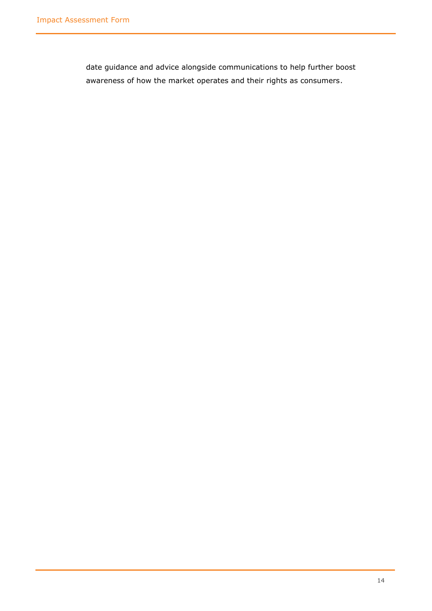date guidance and advice alongside communications to help further boost awareness of how the market operates and their rights as consumers.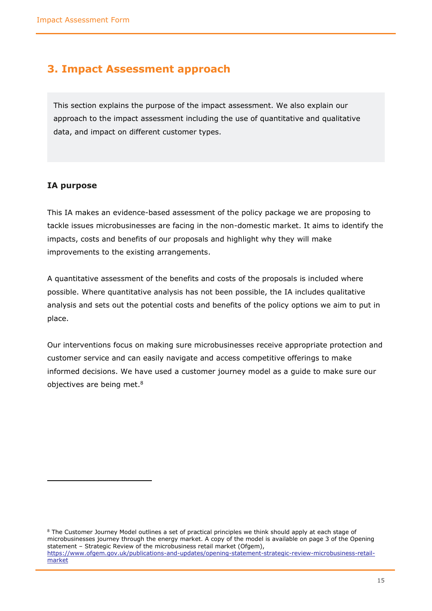### <span id="page-14-0"></span>**3. Impact Assessment approach**

This section explains the purpose of the impact assessment. We also explain our approach to the impact assessment including the use of quantitative and qualitative data, and impact on different customer types.

#### <span id="page-14-1"></span>**IA purpose**

This IA makes an evidence-based assessment of the policy package we are proposing to tackle issues microbusinesses are facing in the non-domestic market. It aims to identify the impacts, costs and benefits of our proposals and highlight why they will make improvements to the existing arrangements.

A quantitative assessment of the benefits and costs of the proposals is included where possible. Where quantitative analysis has not been possible, the IA includes qualitative analysis and sets out the potential costs and benefits of the policy options we aim to put in place.

Our interventions focus on making sure microbusinesses receive appropriate protection and customer service and can easily navigate and access competitive offerings to make informed decisions. We have used a customer journey model as a guide to make sure our objectives are being met. 8

<sup>&</sup>lt;sup>8</sup> The Customer Journey Model outlines a set of practical principles we think should apply at each stage of microbusinesses journey through the energy market. A copy of the model is available on page 3 of the Opening statement – Strategic Review of the microbusiness retail market (Ofgem), [https://www.ofgem.gov.uk/publications-and-updates/opening-statement-strategic-review-microbusiness-retail](https://www.ofgem.gov.uk/publications-and-updates/opening-statement-strategic-review-microbusiness-retail-market)[market](https://www.ofgem.gov.uk/publications-and-updates/opening-statement-strategic-review-microbusiness-retail-market)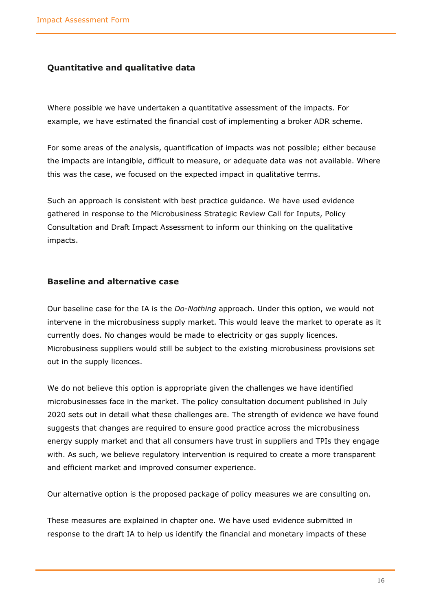#### <span id="page-15-0"></span>**Quantitative and qualitative data**

Where possible we have undertaken a quantitative assessment of the impacts. For example, we have estimated the financial cost of implementing a broker ADR scheme.

For some areas of the analysis, quantification of impacts was not possible; either because the impacts are intangible, difficult to measure, or adequate data was not available. Where this was the case, we focused on the expected impact in qualitative terms.

Such an approach is consistent with best practice guidance. We have used evidence gathered in response to the Microbusiness Strategic Review Call for Inputs, Policy Consultation and Draft Impact Assessment to inform our thinking on the qualitative impacts.

#### <span id="page-15-1"></span>**Baseline and alternative case**

Our baseline case for the IA is the *Do-Nothing* approach. Under this option, we would not intervene in the microbusiness supply market. This would leave the market to operate as it currently does. No changes would be made to electricity or gas supply licences. Microbusiness suppliers would still be subject to the existing microbusiness provisions set out in the supply licences.

We do not believe this option is appropriate given the challenges we have identified microbusinesses face in the market. The policy consultation document published in July 2020 sets out in detail what these challenges are. The strength of evidence we have found suggests that changes are required to ensure good practice across the microbusiness energy supply market and that all consumers have trust in suppliers and TPIs they engage with. As such, we believe regulatory intervention is required to create a more transparent and efficient market and improved consumer experience.

Our alternative option is the proposed package of policy measures we are consulting on.

These measures are explained in chapter one. We have used evidence submitted in response to the draft IA to help us identify the financial and monetary impacts of these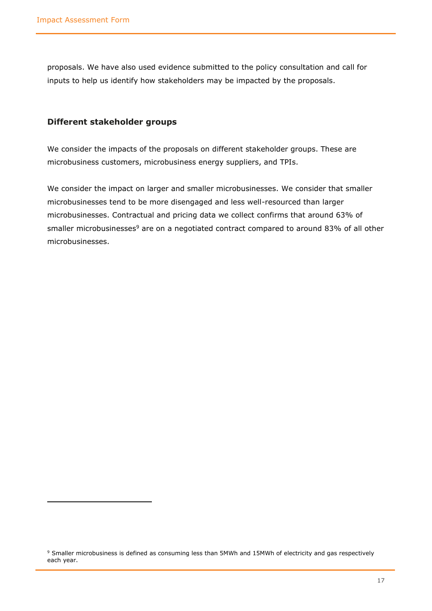proposals. We have also used evidence submitted to the policy consultation and call for inputs to help us identify how stakeholders may be impacted by the proposals.

#### <span id="page-16-0"></span>**Different stakeholder groups**

We consider the impacts of the proposals on different stakeholder groups. These are microbusiness customers, microbusiness energy suppliers, and TPIs.

We consider the impact on larger and smaller microbusinesses. We consider that smaller microbusinesses tend to be more disengaged and less well-resourced than larger microbusinesses. Contractual and pricing data we collect confirms that around 63% of smaller microbusinesses<sup>9</sup> are on a negotiated contract compared to around 83% of all other microbusinesses.

<sup>&</sup>lt;sup>9</sup> Smaller microbusiness is defined as consuming less than 5MWh and 15MWh of electricity and gas respectively each year.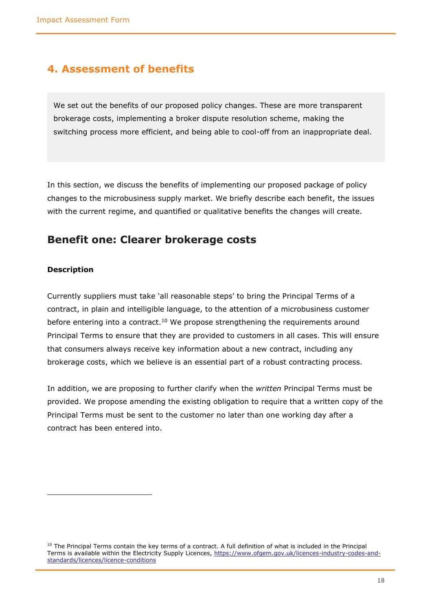### <span id="page-17-0"></span>**4. Assessment of benefits**

We set out the benefits of our proposed policy changes. These are more transparent brokerage costs, implementing a broker dispute resolution scheme, making the switching process more efficient, and being able to cool-off from an inappropriate deal.

In this section, we discuss the benefits of implementing our proposed package of policy changes to the microbusiness supply market. We briefly describe each benefit, the issues with the current regime, and quantified or qualitative benefits the changes will create.

### <span id="page-17-1"></span>**Benefit one: Clearer brokerage costs**

#### **Description**

Currently suppliers must take 'all reasonable steps' to bring the Principal Terms of a contract, in plain and intelligible language, to the attention of a microbusiness customer before entering into a contract.<sup>10</sup> We propose strengthening the requirements around Principal Terms to ensure that they are provided to customers in all cases. This will ensure that consumers always receive key information about a new contract, including any brokerage costs, which we believe is an essential part of a robust contracting process.

In addition, we are proposing to further clarify when the *written* Principal Terms must be provided. We propose amending the existing obligation to require that a written copy of the Principal Terms must be sent to the customer no later than one working day after a contract has been entered into.

 $10$  The Principal Terms contain the key terms of a contract. A full definition of what is included in the Principal Terms is available within the Electricity Supply Licences, [https://www.ofgem.gov.uk/licences-industry-codes-and](https://www.ofgem.gov.uk/licences-industry-codes-and-standards/licences/licence-conditions)[standards/licences/licence-conditions](https://www.ofgem.gov.uk/licences-industry-codes-and-standards/licences/licence-conditions)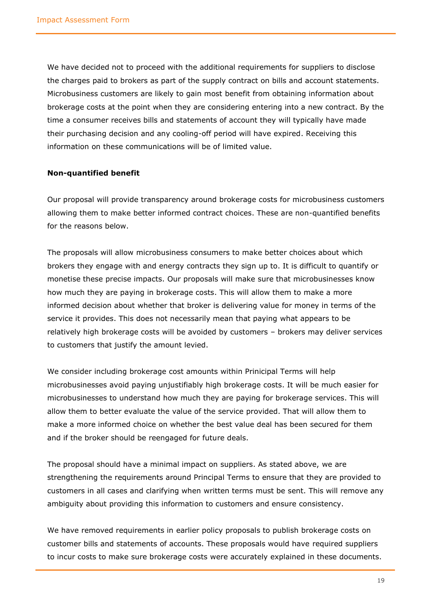We have decided not to proceed with the additional requirements for suppliers to disclose the charges paid to brokers as part of the supply contract on bills and account statements. Microbusiness customers are likely to gain most benefit from obtaining information about brokerage costs at the point when they are considering entering into a new contract. By the time a consumer receives bills and statements of account they will typically have made their purchasing decision and any cooling-off period will have expired. Receiving this information on these communications will be of limited value.

#### **Non-quantified benefit**

Our proposal will provide transparency around brokerage costs for microbusiness customers allowing them to make better informed contract choices. These are non-quantified benefits for the reasons below.

The proposals will allow microbusiness consumers to make better choices about which brokers they engage with and energy contracts they sign up to. It is difficult to quantify or monetise these precise impacts. Our proposals will make sure that microbusinesses know how much they are paying in brokerage costs. This will allow them to make a more informed decision about whether that broker is delivering value for money in terms of the service it provides. This does not necessarily mean that paying what appears to be relatively high brokerage costs will be avoided by customers – brokers may deliver services to customers that justify the amount levied.

We consider including brokerage cost amounts within Prinicipal Terms will help microbusinesses avoid paying unjustifiably high brokerage costs. It will be much easier for microbusinesses to understand how much they are paying for brokerage services. This will allow them to better evaluate the value of the service provided. That will allow them to make a more informed choice on whether the best value deal has been secured for them and if the broker should be reengaged for future deals.

The proposal should have a minimal impact on suppliers. As stated above, we are strengthening the requirements around Principal Terms to ensure that they are provided to customers in all cases and clarifying when written terms must be sent. This will remove any ambiguity about providing this information to customers and ensure consistency.

We have removed requirements in earlier policy proposals to publish brokerage costs on customer bills and statements of accounts. These proposals would have required suppliers to incur costs to make sure brokerage costs were accurately explained in these documents.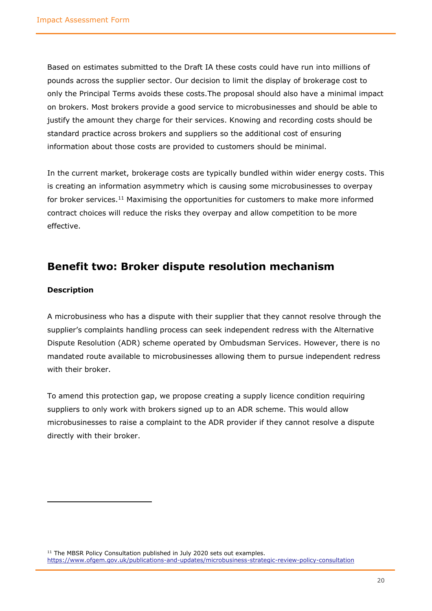Based on estimates submitted to the Draft IA these costs could have run into millions of pounds across the supplier sector. Our decision to limit the display of brokerage cost to only the Principal Terms avoids these costs.The proposal should also have a minimal impact on brokers. Most brokers provide a good service to microbusinesses and should be able to justify the amount they charge for their services. Knowing and recording costs should be standard practice across brokers and suppliers so the additional cost of ensuring information about those costs are provided to customers should be minimal.

In the current market, brokerage costs are typically bundled within wider energy costs. This is creating an information asymmetry which is causing some microbusinesses to overpay for broker services.<sup>11</sup> Maximising the opportunities for customers to make more informed contract choices will reduce the risks they overpay and allow competition to be more effective.

### <span id="page-19-0"></span>**Benefit two: Broker dispute resolution mechanism**

#### **Description**

A microbusiness who has a dispute with their supplier that they cannot resolve through the supplier's complaints handling process can seek independent redress with the Alternative Dispute Resolution (ADR) scheme operated by Ombudsman Services. However, there is no mandated route available to microbusinesses allowing them to pursue independent redress with their broker.

To amend this protection gap, we propose creating a supply licence condition requiring suppliers to only work with brokers signed up to an ADR scheme. This would allow microbusinesses to raise a complaint to the ADR provider if they cannot resolve a dispute directly with their broker.

<sup>11</sup> The MBSR Policy Consultation published in July 2020 sets out examples. <https://www.ofgem.gov.uk/publications-and-updates/microbusiness-strategic-review-policy-consultation>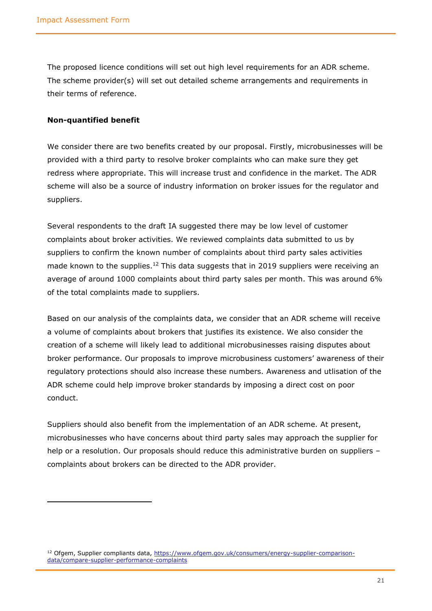The proposed licence conditions will set out high level requirements for an ADR scheme. The scheme provider(s) will set out detailed scheme arrangements and requirements in their terms of reference.

#### **Non-quantified benefit**

We consider there are two benefits created by our proposal. Firstly, microbusinesses will be provided with a third party to resolve broker complaints who can make sure they get redress where appropriate. This will increase trust and confidence in the market. The ADR scheme will also be a source of industry information on broker issues for the regulator and suppliers.

Several respondents to the draft IA suggested there may be low level of customer complaints about broker activities. We reviewed complaints data submitted to us by suppliers to confirm the known number of complaints about third party sales activities made known to the supplies.<sup>12</sup> This data suggests that in 2019 suppliers were receiving an average of around 1000 complaints about third party sales per month. This was around 6% of the total complaints made to suppliers.

Based on our analysis of the complaints data, we consider that an ADR scheme will receive a volume of complaints about brokers that justifies its existence. We also consider the creation of a scheme will likely lead to additional microbusinesses raising disputes about broker performance. Our proposals to improve microbusiness customers' awareness of their regulatory protections should also increase these numbers. Awareness and utlisation of the ADR scheme could help improve broker standards by imposing a direct cost on poor conduct.

Suppliers should also benefit from the implementation of an ADR scheme. At present, microbusinesses who have concerns about third party sales may approach the supplier for help or a resolution. Our proposals should reduce this administrative burden on suppliers complaints about brokers can be directed to the ADR provider.

<sup>&</sup>lt;sup>12</sup> Ofgem, Supplier compliants data, [https://www.ofgem.gov.uk/consumers/energy-supplier-comparison](https://www.ofgem.gov.uk/consumers/energy-supplier-comparison-data/compare-supplier-performance-complaints)[data/compare-supplier-performance-complaints](https://www.ofgem.gov.uk/consumers/energy-supplier-comparison-data/compare-supplier-performance-complaints)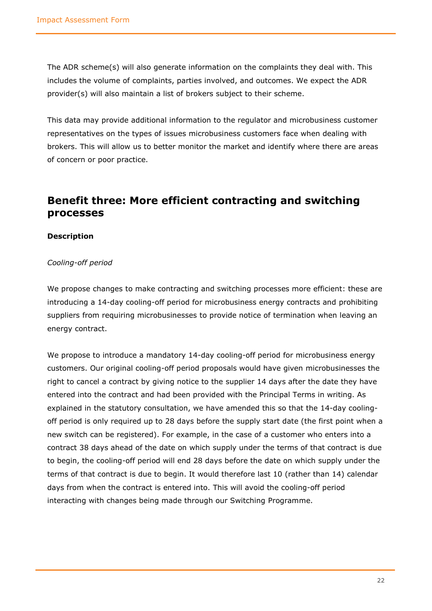The ADR scheme(s) will also generate information on the complaints they deal with. This includes the volume of complaints, parties involved, and outcomes. We expect the ADR provider(s) will also maintain a list of brokers subject to their scheme.

This data may provide additional information to the regulator and microbusiness customer representatives on the types of issues microbusiness customers face when dealing with brokers. This will allow us to better monitor the market and identify where there are areas of concern or poor practice.

### <span id="page-21-0"></span>**Benefit three: More efficient contracting and switching processes**

#### **Description**

#### *Cooling-off period*

We propose changes to make contracting and switching processes more efficient: these are introducing a 14-day cooling-off period for microbusiness energy contracts and prohibiting suppliers from requiring microbusinesses to provide notice of termination when leaving an energy contract.

We propose to introduce a mandatory 14-day cooling-off period for microbusiness energy customers. Our original cooling-off period proposals would have given microbusinesses the right to cancel a contract by giving notice to the supplier 14 days after the date they have entered into the contract and had been provided with the Principal Terms in writing. As explained in the statutory consultation, we have amended this so that the 14-day coolingoff period is only required up to 28 days before the supply start date (the first point when a new switch can be registered). For example, in the case of a customer who enters into a contract 38 days ahead of the date on which supply under the terms of that contract is due to begin, the cooling-off period will end 28 days before the date on which supply under the terms of that contract is due to begin. It would therefore last 10 (rather than 14) calendar days from when the contract is entered into. This will avoid the cooling-off period interacting with changes being made through our Switching Programme.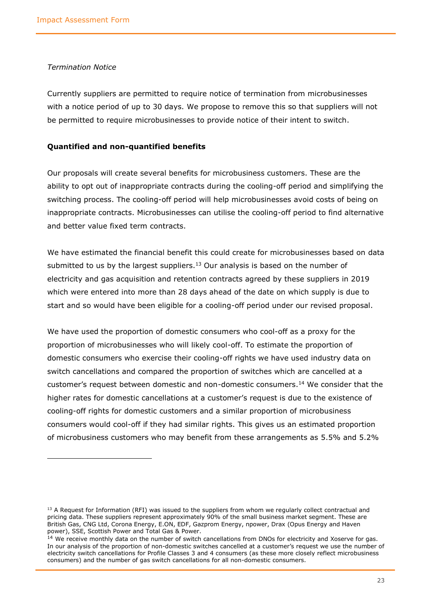#### *Termination Notice*

Currently suppliers are permitted to require notice of termination from microbusinesses with a notice period of up to 30 days. We propose to remove this so that suppliers will not be permitted to require microbusinesses to provide notice of their intent to switch.

#### **Quantified and non-quantified benefits**

Our proposals will create several benefits for microbusiness customers. These are the ability to opt out of inappropriate contracts during the cooling-off period and simplifying the switching process. The cooling-off period will help microbusinesses avoid costs of being on inappropriate contracts. Microbusinesses can utilise the cooling-off period to find alternative and better value fixed term contracts.

We have estimated the financial benefit this could create for microbusinesses based on data submitted to us by the largest suppliers. $13$  Our analysis is based on the number of electricity and gas acquisition and retention contracts agreed by these suppliers in 2019 which were entered into more than 28 days ahead of the date on which supply is due to start and so would have been eligible for a cooling-off period under our revised proposal.

We have used the proportion of domestic consumers who cool-off as a proxy for the proportion of microbusinesses who will likely cool-off. To estimate the proportion of domestic consumers who exercise their cooling-off rights we have used industry data on switch cancellations and compared the proportion of switches which are cancelled at a customer's request between domestic and non-domestic consumers.<sup>14</sup> We consider that the higher rates for domestic cancellations at a customer's request is due to the existence of cooling-off rights for domestic customers and a similar proportion of microbusiness consumers would cool-off if they had similar rights. This gives us an estimated proportion of microbusiness customers who may benefit from these arrangements as 5.5% and 5.2%

<sup>&</sup>lt;sup>13</sup> A Request for Information (RFI) was issued to the suppliers from whom we regularly collect contractual and pricing data. These suppliers represent approximately 90% of the small business market segment. These are British Gas, CNG Ltd, Corona Energy, E.ON, EDF, Gazprom Energy, npower, Drax (Opus Energy and Haven power), SSE, Scottish Power and Total Gas & Power.

<sup>&</sup>lt;sup>14</sup> We receive monthly data on the number of switch cancellations from DNOs for electricity and Xoserve for gas. In our analysis of the proportion of non-domestic switches cancelled at a customer's request we use the number of electricity switch cancellations for Profile Classes 3 and 4 consumers (as these more closely reflect microbusiness consumers) and the number of gas switch cancellations for all non-domestic consumers.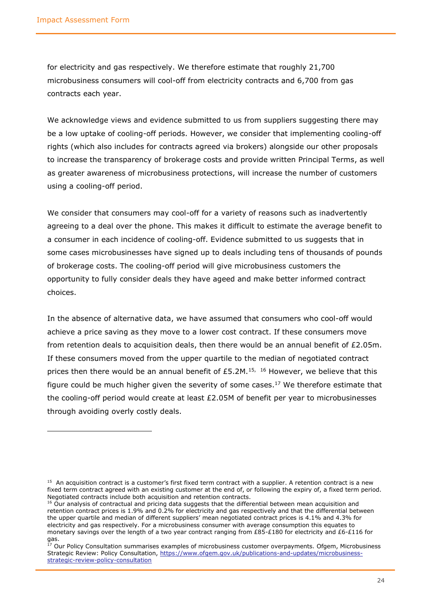for electricity and gas respectively. We therefore estimate that roughly 21,700 microbusiness consumers will cool-off from electricity contracts and 6,700 from gas contracts each year.

We acknowledge views and evidence submitted to us from suppliers suggesting there may be a low uptake of cooling-off periods. However, we consider that implementing cooling-off rights (which also includes for contracts agreed via brokers) alongside our other proposals to increase the transparency of brokerage costs and provide written Principal Terms, as well as greater awareness of microbusiness protections, will increase the number of customers using a cooling-off period.

We consider that consumers may cool-off for a variety of reasons such as inadvertently agreeing to a deal over the phone. This makes it difficult to estimate the average benefit to a consumer in each incidence of cooling-off. Evidence submitted to us suggests that in some cases microbusinesses have signed up to deals including tens of thousands of pounds of brokerage costs. The cooling-off period will give microbusiness customers the opportunity to fully consider deals they have ageed and make better informed contract choices.

In the absence of alternative data, we have assumed that consumers who cool-off would achieve a price saving as they move to a lower cost contract. If these consumers move from retention deals to acquisition deals, then there would be an annual benefit of £2.05m. If these consumers moved from the upper quartile to the median of negotiated contract prices then there would be an annual benefit of £5.2M.<sup>15, 16</sup> However, we believe that this figure could be much higher given the severity of some cases.<sup>17</sup> We therefore estimate that the cooling-off period would create at least £2.05M of benefit per year to microbusinesses through avoiding overly costly deals.

<sup>&</sup>lt;sup>15</sup> An acquisition contract is a customer's first fixed term contract with a supplier. A retention contract is a new fixed term contract agreed with an existing customer at the end of, or following the expiry of, a fixed term period. Negotiated contracts include both acquisition and retention contracts.

<sup>&</sup>lt;sup>16</sup> Our analysis of contractual and pricing data suggests that the differential between mean acquisition and retention contract prices is 1.9% and 0.2% for electricity and gas respectively and that the differential between the upper quartile and median of different suppliers' mean negotiated contract prices is 4.1% and 4.3% for electricity and gas respectively. For a microbusiness consumer with average consumption this equates to monetary savings over the length of a two year contract ranging from £85-£180 for electricity and £6-£116 for gas.

 $^{17}$  Our Policy Consultation summarises examples of microbusiness customer overpayments. Ofgem, Microbusiness Strategic Review: Policy Consultation, [https://www.ofgem.gov.uk/publications-and-updates/microbusiness](https://www.ofgem.gov.uk/publications-and-updates/microbusiness-strategic-review-policy-consultation)[strategic-review-policy-consultation](https://www.ofgem.gov.uk/publications-and-updates/microbusiness-strategic-review-policy-consultation)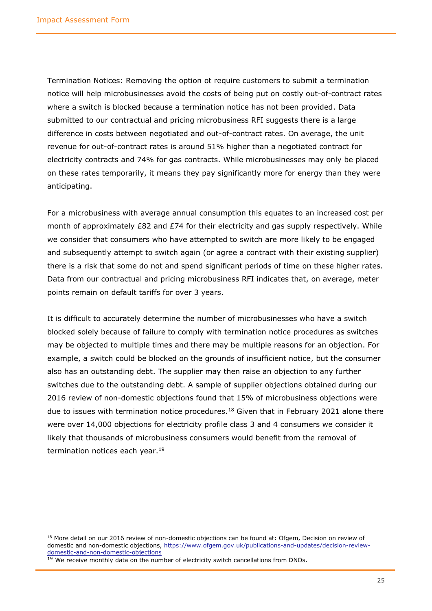Termination Notices: Removing the option ot require customers to submit a termination notice will help microbusinesses avoid the costs of being put on costly out-of-contract rates where a switch is blocked because a termination notice has not been provided. Data submitted to our contractual and pricing microbusiness RFI suggests there is a large difference in costs between negotiated and out-of-contract rates. On average, the unit revenue for out-of-contract rates is around 51% higher than a negotiated contract for electricity contracts and 74% for gas contracts. While microbusinesses may only be placed on these rates temporarily, it means they pay significantly more for energy than they were anticipating.

For a microbusiness with average annual consumption this equates to an increased cost per month of approximately  $E82$  and  $E74$  for their electricity and gas supply respectively. While we consider that consumers who have attempted to switch are more likely to be engaged and subsequently attempt to switch again (or agree a contract with their existing supplier) there is a risk that some do not and spend significant periods of time on these higher rates. Data from our contractual and pricing microbusiness RFI indicates that, on average, meter points remain on default tariffs for over 3 years.

It is difficult to accurately determine the number of microbusinesses who have a switch blocked solely because of failure to comply with termination notice procedures as switches may be objected to multiple times and there may be multiple reasons for an objection. For example, a switch could be blocked on the grounds of insufficient notice, but the consumer also has an outstanding debt. The supplier may then raise an objection to any further switches due to the outstanding debt. A sample of supplier objections obtained during our 2016 review of non-domestic objections found that 15% of microbusiness objections were due to issues with termination notice procedures.<sup>18</sup> Given that in February 2021 alone there were over 14,000 objections for electricity profile class 3 and 4 consumers we consider it likely that thousands of microbusiness consumers would benefit from the removal of termination notices each year.<sup>19</sup>

<sup>&</sup>lt;sup>18</sup> More detail on our 2016 review of non-domestic objections can be found at: Ofgem, Decision on review of domestic and non-domestic objections, [https://www.ofgem.gov.uk/publications-and-updates/decision-review](https://www.ofgem.gov.uk/publications-and-updates/decision-review-domestic-and-non-domestic-objections)[domestic-and-non-domestic-objections](https://www.ofgem.gov.uk/publications-and-updates/decision-review-domestic-and-non-domestic-objections)

 $19$  We receive monthly data on the number of electricity switch cancellations from DNOs.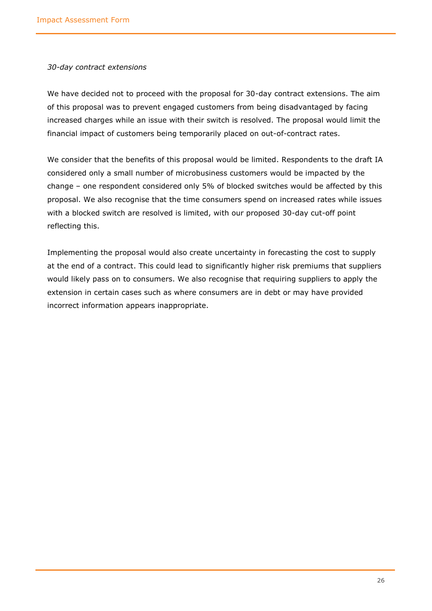#### *30-day contract extensions*

We have decided not to proceed with the proposal for 30-day contract extensions. The aim of this proposal was to prevent engaged customers from being disadvantaged by facing increased charges while an issue with their switch is resolved. The proposal would limit the financial impact of customers being temporarily placed on out-of-contract rates.

We consider that the benefits of this proposal would be limited. Respondents to the draft IA considered only a small number of microbusiness customers would be impacted by the change – one respondent considered only 5% of blocked switches would be affected by this proposal. We also recognise that the time consumers spend on increased rates while issues with a blocked switch are resolved is limited, with our proposed 30-day cut-off point reflecting this.

Implementing the proposal would also create uncertainty in forecasting the cost to supply at the end of a contract. This could lead to significantly higher risk premiums that suppliers would likely pass on to consumers. We also recognise that requiring suppliers to apply the extension in certain cases such as where consumers are in debt or may have provided incorrect information appears inappropriate.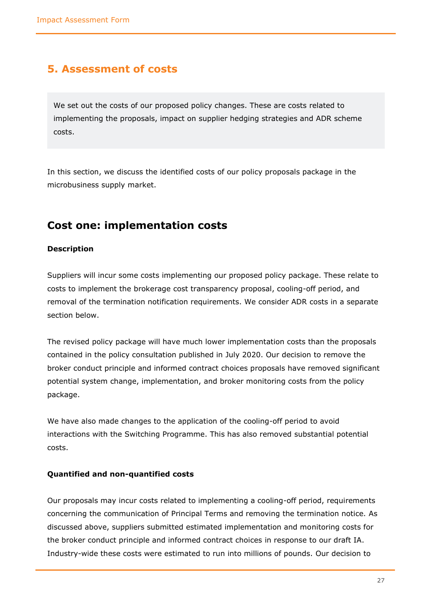### <span id="page-26-0"></span>**5. Assessment of costs**

We set out the costs of our proposed policy changes. These are costs related to implementing the proposals, impact on supplier hedging strategies and ADR scheme costs.

In this section, we discuss the identified costs of our policy proposals package in the microbusiness supply market.

### <span id="page-26-1"></span>**Cost one: implementation costs**

#### **Description**

Suppliers will incur some costs implementing our proposed policy package. These relate to costs to implement the brokerage cost transparency proposal, cooling-off period, and removal of the termination notification requirements. We consider ADR costs in a separate section below.

The revised policy package will have much lower implementation costs than the proposals contained in the policy consultation published in July 2020. Our decision to remove the broker conduct principle and informed contract choices proposals have removed significant potential system change, implementation, and broker monitoring costs from the policy package.

We have also made changes to the application of the cooling-off period to avoid interactions with the Switching Programme. This has also removed substantial potential costs.

#### **Quantified and non-quantified costs**

Our proposals may incur costs related to implementing a cooling-off period, requirements concerning the communication of Principal Terms and removing the termination notice. As discussed above, suppliers submitted estimated implementation and monitoring costs for the broker conduct principle and informed contract choices in response to our draft IA. Industry-wide these costs were estimated to run into millions of pounds. Our decision to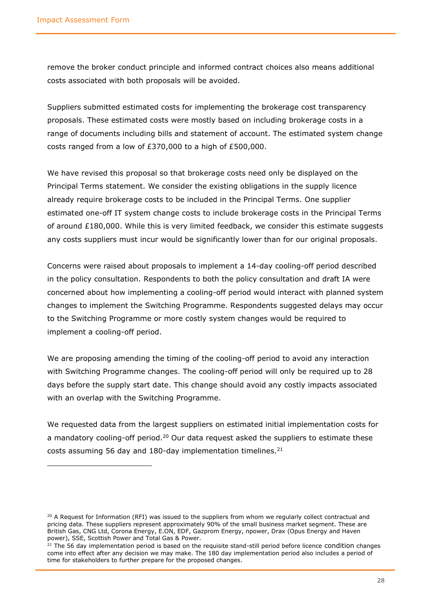remove the broker conduct principle and informed contract choices also means additional costs associated with both proposals will be avoided.

Suppliers submitted estimated costs for implementing the brokerage cost transparency proposals. These estimated costs were mostly based on including brokerage costs in a range of documents including bills and statement of account. The estimated system change costs ranged from a low of £370,000 to a high of £500,000.

We have revised this proposal so that brokerage costs need only be displayed on the Principal Terms statement. We consider the existing obligations in the supply licence already require brokerage costs to be included in the Principal Terms. One supplier estimated one-off IT system change costs to include brokerage costs in the Principal Terms of around  $£180,000$ . While this is very limited feedback, we consider this estimate suggests any costs suppliers must incur would be significantly lower than for our original proposals.

Concerns were raised about proposals to implement a 14-day cooling-off period described in the policy consultation. Respondents to both the policy consultation and draft IA were concerned about how implementing a cooling-off period would interact with planned system changes to implement the Switching Programme. Respondents suggested delays may occur to the Switching Programme or more costly system changes would be required to implement a cooling-off period.

We are proposing amending the timing of the cooling-off period to avoid any interaction with Switching Programme changes. The cooling-off period will only be required up to 28 days before the supply start date. This change should avoid any costly impacts associated with an overlap with the Switching Programme.

We requested data from the largest suppliers on estimated initial implementation costs for a mandatory cooling-off period.<sup>20</sup> Our data request asked the suppliers to estimate these costs assuming 56 day and 180-day implementation timelines. $^{21}$ 

 $20$  A Request for Information (RFI) was issued to the suppliers from whom we reqularly collect contractual and pricing data. These suppliers represent approximately 90% of the small business market segment. These are British Gas, CNG Ltd, Corona Energy, E.ON, EDF, Gazprom Energy, npower, Drax (Opus Energy and Haven power), SSE, Scottish Power and Total Gas & Power.

 $21$  The 56 day implementation period is based on the requisite stand-still period before licence condition changes come into effect after any decision we may make. The 180 day implementation period also includes a period of time for stakeholders to further prepare for the proposed changes.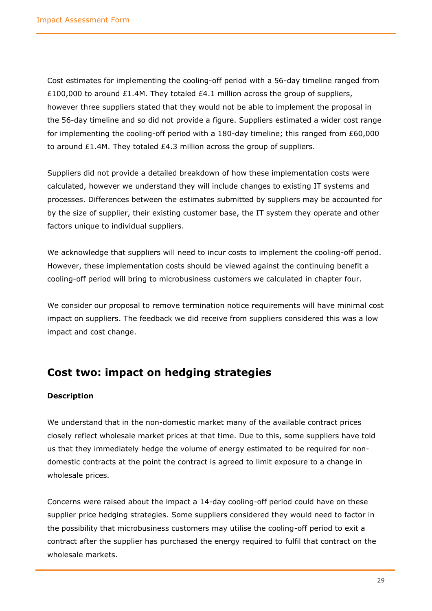Cost estimates for implementing the cooling-off period with a 56-day timeline ranged from £100,000 to around £1.4M. They totaled £4.1 million across the group of suppliers, however three suppliers stated that they would not be able to implement the proposal in the 56-day timeline and so did not provide a figure. Suppliers estimated a wider cost range for implementing the cooling-off period with a 180-day timeline; this ranged from £60,000 to around  $£1.4M$ . They totaled  $£4.3$  million across the group of suppliers.

Suppliers did not provide a detailed breakdown of how these implementation costs were calculated, however we understand they will include changes to existing IT systems and processes. Differences between the estimates submitted by suppliers may be accounted for by the size of supplier, their existing customer base, the IT system they operate and other factors unique to individual suppliers.

We acknowledge that suppliers will need to incur costs to implement the cooling-off period. However, these implementation costs should be viewed against the continuing benefit a cooling-off period will bring to microbusiness customers we calculated in chapter four.

We consider our proposal to remove termination notice requirements will have minimal cost impact on suppliers. The feedback we did receive from suppliers considered this was a low impact and cost change.

### <span id="page-28-0"></span>**Cost two: impact on hedging strategies**

#### **Description**

We understand that in the non-domestic market many of the available contract prices closely reflect wholesale market prices at that time. Due to this, some suppliers have told us that they immediately hedge the volume of energy estimated to be required for nondomestic contracts at the point the contract is agreed to limit exposure to a change in wholesale prices.

Concerns were raised about the impact a 14-day cooling-off period could have on these supplier price hedging strategies. Some suppliers considered they would need to factor in the possibility that microbusiness customers may utilise the cooling-off period to exit a contract after the supplier has purchased the energy required to fulfil that contract on the wholesale markets.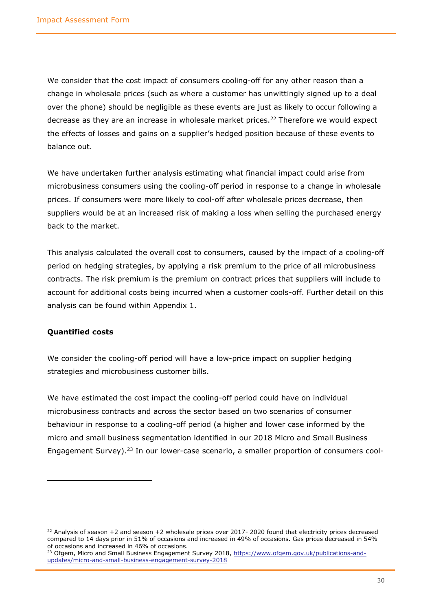We consider that the cost impact of consumers cooling-off for any other reason than a change in wholesale prices (such as where a customer has unwittingly signed up to a deal over the phone) should be negligible as these events are just as likely to occur following a decrease as they are an increase in wholesale market prices.<sup>22</sup> Therefore we would expect the effects of losses and gains on a supplier's hedged position because of these events to balance out.

We have undertaken further analysis estimating what financial impact could arise from microbusiness consumers using the cooling-off period in response to a change in wholesale prices. If consumers were more likely to cool-off after wholesale prices decrease, then suppliers would be at an increased risk of making a loss when selling the purchased energy back to the market.

This analysis calculated the overall cost to consumers, caused by the impact of a cooling-off period on hedging strategies, by applying a risk premium to the price of all microbusiness contracts. The risk premium is the premium on contract prices that suppliers will include to account for additional costs being incurred when a customer cools-off. Further detail on this analysis can be found within Appendix 1.

#### **Quantified costs**

We consider the cooling-off period will have a low-price impact on supplier hedging strategies and microbusiness customer bills.

We have estimated the cost impact the cooling-off period could have on individual microbusiness contracts and across the sector based on two scenarios of consumer behaviour in response to a cooling-off period (a higher and lower case informed by the micro and small business segmentation identified in our 2018 Micro and Small Business Engagement Survey).<sup>23</sup> In our lower-case scenario, a smaller proportion of consumers cool-

 $^{22}$  Analysis of season +2 and season +2 wholesale prices over 2017-2020 found that electricity prices decreased compared to 14 days prior in 51% of occasions and increased in 49% of occasions. Gas prices decreased in 54% of occasions and increased in 46% of occasions.

<sup>&</sup>lt;sup>23</sup> Ofgem, Micro and Small Business Engagement Survey 2018, [https://www.ofgem.gov.uk/publications-and](https://www.ofgem.gov.uk/publications-and-updates/micro-and-small-business-engagement-survey-2018)[updates/micro-and-small-business-engagement-survey-2018](https://www.ofgem.gov.uk/publications-and-updates/micro-and-small-business-engagement-survey-2018)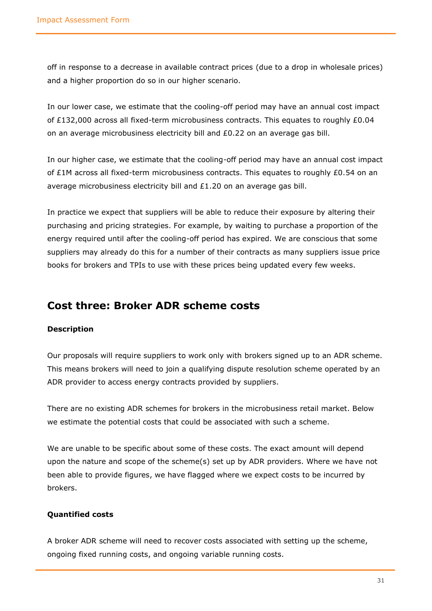off in response to a decrease in available contract prices (due to a drop in wholesale prices) and a higher proportion do so in our higher scenario.

In our lower case, we estimate that the cooling-off period may have an annual cost impact of £132,000 across all fixed-term microbusiness contracts. This equates to roughly £0.04 on an average microbusiness electricity bill and £0.22 on an average gas bill.

In our higher case, we estimate that the cooling-off period may have an annual cost impact of £1M across all fixed-term microbusiness contracts. This equates to roughly £0.54 on an average microbusiness electricity bill and £1.20 on an average gas bill.

In practice we expect that suppliers will be able to reduce their exposure by altering their purchasing and pricing strategies. For example, by waiting to purchase a proportion of the energy required until after the cooling-off period has expired. We are conscious that some suppliers may already do this for a number of their contracts as many suppliers issue price books for brokers and TPIs to use with these prices being updated every few weeks.

### <span id="page-30-0"></span>**Cost three: Broker ADR scheme costs**

#### **Description**

Our proposals will require suppliers to work only with brokers signed up to an ADR scheme. This means brokers will need to join a qualifying dispute resolution scheme operated by an ADR provider to access energy contracts provided by suppliers.

There are no existing ADR schemes for brokers in the microbusiness retail market. Below we estimate the potential costs that could be associated with such a scheme.

We are unable to be specific about some of these costs. The exact amount will depend upon the nature and scope of the scheme(s) set up by ADR providers. Where we have not been able to provide figures, we have flagged where we expect costs to be incurred by brokers.

#### **Quantified costs**

A broker ADR scheme will need to recover costs associated with setting up the scheme, ongoing fixed running costs, and ongoing variable running costs.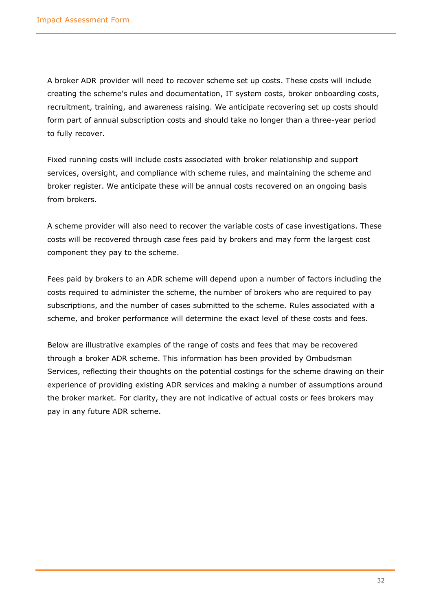A broker ADR provider will need to recover scheme set up costs. These costs will include creating the scheme's rules and documentation, IT system costs, broker onboarding costs, recruitment, training, and awareness raising. We anticipate recovering set up costs should form part of annual subscription costs and should take no longer than a three-year period to fully recover.

Fixed running costs will include costs associated with broker relationship and support services, oversight, and compliance with scheme rules, and maintaining the scheme and broker register. We anticipate these will be annual costs recovered on an ongoing basis from brokers.

A scheme provider will also need to recover the variable costs of case investigations. These costs will be recovered through case fees paid by brokers and may form the largest cost component they pay to the scheme.

Fees paid by brokers to an ADR scheme will depend upon a number of factors including the costs required to administer the scheme, the number of brokers who are required to pay subscriptions, and the number of cases submitted to the scheme. Rules associated with a scheme, and broker performance will determine the exact level of these costs and fees.

Below are illustrative examples of the range of costs and fees that may be recovered through a broker ADR scheme. This information has been provided by Ombudsman Services, reflecting their thoughts on the potential costings for the scheme drawing on their experience of providing existing ADR services and making a number of assumptions around the broker market. For clarity, they are not indicative of actual costs or fees brokers may pay in any future ADR scheme.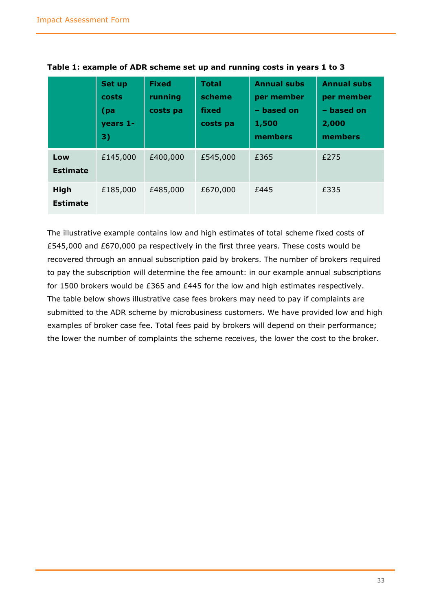|                                | Set up<br>costs<br>(pa<br>years 1-<br>3) | <b>Fixed</b><br>running<br>costs pa | <b>Total</b><br>scheme<br>fixed<br>costs pa | <b>Annual subs</b><br>per member<br>- based on<br>1,500<br>members | <b>Annual subs</b><br>per member<br>- based on<br>2,000<br>members |
|--------------------------------|------------------------------------------|-------------------------------------|---------------------------------------------|--------------------------------------------------------------------|--------------------------------------------------------------------|
| Low<br><b>Estimate</b>         | £145,000                                 | £400,000                            | £545,000                                    | £365                                                               | £275                                                               |
| <b>High</b><br><b>Estimate</b> | £185,000                                 | £485,000                            | £670,000                                    | £445                                                               | £335                                                               |

**Table 1: example of ADR scheme set up and running costs in years 1 to 3**

The illustrative example contains low and high estimates of total scheme fixed costs of £545,000 and £670,000 pa respectively in the first three years. These costs would be recovered through an annual subscription paid by brokers. The number of brokers required to pay the subscription will determine the fee amount: in our example annual subscriptions for 1500 brokers would be £365 and £445 for the low and high estimates respectively. The table below shows illustrative case fees brokers may need to pay if complaints are submitted to the ADR scheme by microbusiness customers. We have provided low and high examples of broker case fee. Total fees paid by brokers will depend on their performance; the lower the number of complaints the scheme receives, the lower the cost to the broker.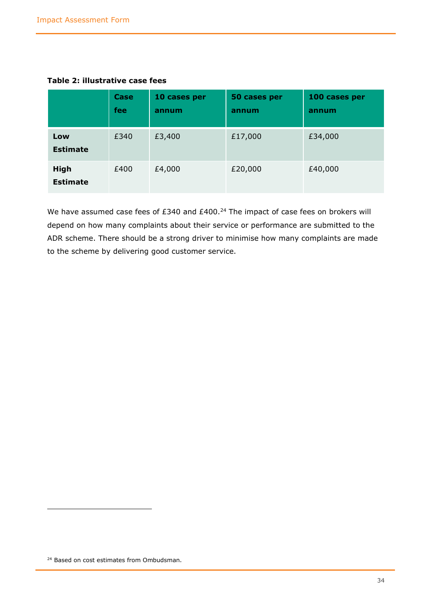|                                | Case<br>fee | 10 cases per<br>annum | 50 cases per<br>annum | 100 cases per<br>annum |
|--------------------------------|-------------|-----------------------|-----------------------|------------------------|
| Low<br><b>Estimate</b>         | £340        | £3,400                | £17,000               | £34,000                |
| <b>High</b><br><b>Estimate</b> | £400        | £4,000                | £20,000               | £40,000                |

**Table 2: illustrative case fees**

We have assumed case fees of £340 and  $£400.<sup>24</sup>$  The impact of case fees on brokers will depend on how many complaints about their service or performance are submitted to the ADR scheme. There should be a strong driver to minimise how many complaints are made to the scheme by delivering good customer service.

<sup>&</sup>lt;sup>24</sup> Based on cost estimates from Ombudsman.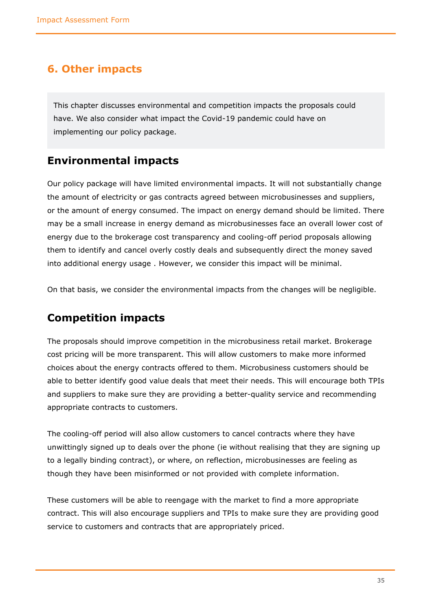### <span id="page-34-0"></span>**6. Other impacts**

This chapter discusses environmental and competition impacts the proposals could have. We also consider what impact the Covid-19 pandemic could have on implementing our policy package.

### <span id="page-34-1"></span>**Environmental impacts**

Our policy package will have limited environmental impacts. It will not substantially change the amount of electricity or gas contracts agreed between microbusinesses and suppliers, or the amount of energy consumed. The impact on energy demand should be limited. There may be a small increase in energy demand as microbusinesses face an overall lower cost of energy due to the brokerage cost transparency and cooling-off period proposals allowing them to identify and cancel overly costly deals and subsequently direct the money saved into additional energy usage . However, we consider this impact will be minimal.

On that basis, we consider the environmental impacts from the changes will be negligible.

### <span id="page-34-2"></span>**Competition impacts**

The proposals should improve competition in the microbusiness retail market. Brokerage cost pricing will be more transparent. This will allow customers to make more informed choices about the energy contracts offered to them. Microbusiness customers should be able to better identify good value deals that meet their needs. This will encourage both TPIs and suppliers to make sure they are providing a better-quality service and recommending appropriate contracts to customers.

The cooling-off period will also allow customers to cancel contracts where they have unwittingly signed up to deals over the phone (ie without realising that they are signing up to a legally binding contract), or where, on reflection, microbusinesses are feeling as though they have been misinformed or not provided with complete information.

These customers will be able to reengage with the market to find a more appropriate contract. This will also encourage suppliers and TPIs to make sure they are providing good service to customers and contracts that are appropriately priced.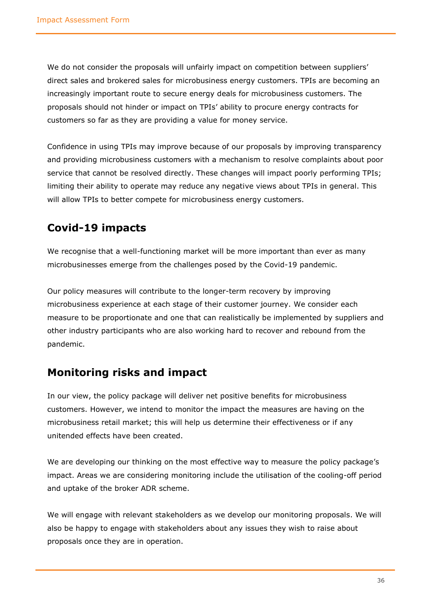We do not consider the proposals will unfairly impact on competition between suppliers' direct sales and brokered sales for microbusiness energy customers. TPIs are becoming an increasingly important route to secure energy deals for microbusiness customers. The proposals should not hinder or impact on TPIs' ability to procure energy contracts for customers so far as they are providing a value for money service.

Confidence in using TPIs may improve because of our proposals by improving transparency and providing microbusiness customers with a mechanism to resolve complaints about poor service that cannot be resolved directly. These changes will impact poorly performing TPIs; limiting their ability to operate may reduce any negative views about TPIs in general. This will allow TPIs to better compete for microbusiness energy customers.

# <span id="page-35-0"></span>**Covid-19 impacts**

We recognise that a well-functioning market will be more important than ever as many microbusinesses emerge from the challenges posed by the Covid-19 pandemic.

Our policy measures will contribute to the longer-term recovery by improving microbusiness experience at each stage of their customer journey. We consider each measure to be proportionate and one that can realistically be implemented by suppliers and other industry participants who are also working hard to recover and rebound from the pandemic.

# <span id="page-35-1"></span>**Monitoring risks and impact**

In our view, the policy package will deliver net positive benefits for microbusiness customers. However, we intend to monitor the impact the measures are having on the microbusiness retail market; this will help us determine their effectiveness or if any unitended effects have been created.

We are developing our thinking on the most effective way to measure the policy package's impact. Areas we are considering monitoring include the utilisation of the cooling-off period and uptake of the broker ADR scheme.

We will engage with relevant stakeholders as we develop our monitoring proposals. We will also be happy to engage with stakeholders about any issues they wish to raise about proposals once they are in operation.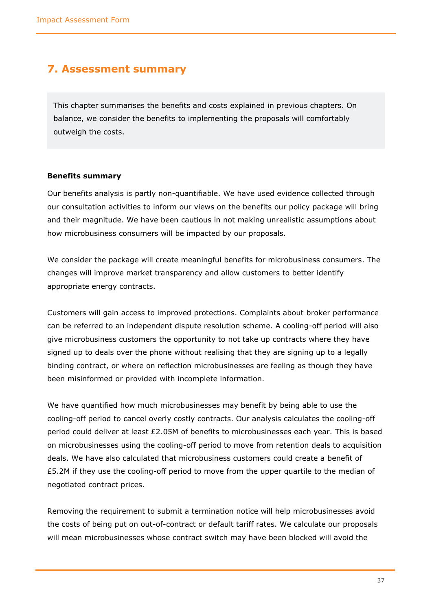### <span id="page-36-0"></span>**7. Assessment summary**

This chapter summarises the benefits and costs explained in previous chapters. On balance, we consider the benefits to implementing the proposals will comfortably outweigh the costs.

#### <span id="page-36-1"></span>**Benefits summary**

Our benefits analysis is partly non-quantifiable. We have used evidence collected through our consultation activities to inform our views on the benefits our policy package will bring and their magnitude. We have been cautious in not making unrealistic assumptions about how microbusiness consumers will be impacted by our proposals.

We consider the package will create meaningful benefits for microbusiness consumers. The changes will improve market transparency and allow customers to better identify appropriate energy contracts.

Customers will gain access to improved protections. Complaints about broker performance can be referred to an independent dispute resolution scheme. A cooling-off period will also give microbusiness customers the opportunity to not take up contracts where they have signed up to deals over the phone without realising that they are signing up to a legally binding contract, or where on reflection microbusinesses are feeling as though they have been misinformed or provided with incomplete information.

We have quantified how much microbusinesses may benefit by being able to use the cooling-off period to cancel overly costly contracts. Our analysis calculates the cooling-off period could deliver at least £2.05M of benefits to microbusinesses each year. This is based on microbusinesses using the cooling-off period to move from retention deals to acquisition deals. We have also calculated that microbusiness customers could create a benefit of £5.2M if they use the cooling-off period to move from the upper quartile to the median of negotiated contract prices.

Removing the requirement to submit a termination notice will help microbusinesses avoid the costs of being put on out-of-contract or default tariff rates. We calculate our proposals will mean microbusinesses whose contract switch may have been blocked will avoid the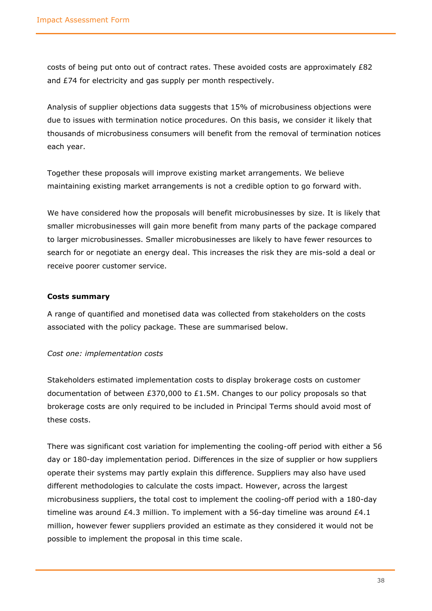costs of being put onto out of contract rates. These avoided costs are approximately £82 and £74 for electricity and gas supply per month respectively.

Analysis of supplier objections data suggests that 15% of microbusiness objections were due to issues with termination notice procedures. On this basis, we consider it likely that thousands of microbusiness consumers will benefit from the removal of termination notices each year.

Together these proposals will improve existing market arrangements. We believe maintaining existing market arrangements is not a credible option to go forward with.

We have considered how the proposals will benefit microbusinesses by size. It is likely that smaller microbusinesses will gain more benefit from many parts of the package compared to larger microbusinesses. Smaller microbusinesses are likely to have fewer resources to search for or negotiate an energy deal. This increases the risk they are mis-sold a deal or receive poorer customer service.

#### <span id="page-37-0"></span>**Costs summary**

A range of quantified and monetised data was collected from stakeholders on the costs associated with the policy package. These are summarised below.

#### *Cost one: implementation costs*

Stakeholders estimated implementation costs to display brokerage costs on customer documentation of between £370,000 to £1.5M. Changes to our policy proposals so that brokerage costs are only required to be included in Principal Terms should avoid most of these costs.

There was significant cost variation for implementing the cooling-off period with either a 56 day or 180-day implementation period. Differences in the size of supplier or how suppliers operate their systems may partly explain this difference. Suppliers may also have used different methodologies to calculate the costs impact. However, across the largest microbusiness suppliers, the total cost to implement the cooling-off period with a 180-day timeline was around £4.3 million. To implement with a 56-day timeline was around  $£4.1$ million, however fewer suppliers provided an estimate as they considered it would not be possible to implement the proposal in this time scale.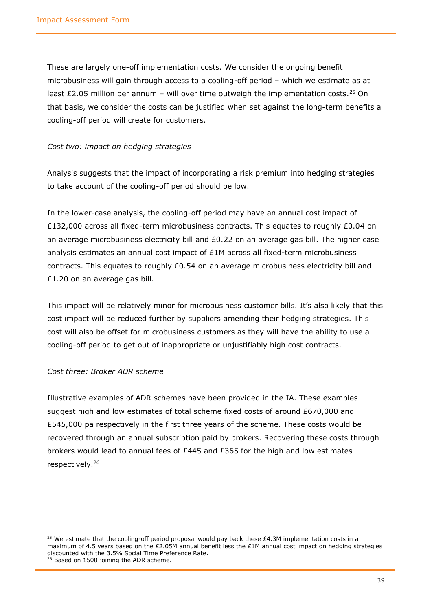These are largely one-off implementation costs. We consider the ongoing benefit microbusiness will gain through access to a cooling-off period – which we estimate as at least  $£2.05$  million per annum – will over time outweigh the implementation costs.<sup>25</sup> On that basis, we consider the costs can be justified when set against the long-term benefits a cooling-off period will create for customers.

#### *Cost two: impact on hedging strategies*

Analysis suggests that the impact of incorporating a risk premium into hedging strategies to take account of the cooling-off period should be low.

In the lower-case analysis, the cooling-off period may have an annual cost impact of £132,000 across all fixed-term microbusiness contracts. This equates to roughly £0.04 on an average microbusiness electricity bill and £0.22 on an average gas bill. The higher case analysis estimates an annual cost impact of £1M across all fixed-term microbusiness contracts. This equates to roughly £0.54 on an average microbusiness electricity bill and £1.20 on an average gas bill.

This impact will be relatively minor for microbusiness customer bills. It's also likely that this cost impact will be reduced further by suppliers amending their hedging strategies. This cost will also be offset for microbusiness customers as they will have the ability to use a cooling-off period to get out of inappropriate or unjustifiably high cost contracts.

#### *Cost three: Broker ADR scheme*

Illustrative examples of ADR schemes have been provided in the IA. These examples suggest high and low estimates of total scheme fixed costs of around £670,000 and £545,000 pa respectively in the first three years of the scheme. These costs would be recovered through an annual subscription paid by brokers. Recovering these costs through brokers would lead to annual fees of  $E445$  and  $E365$  for the high and low estimates respectively.<sup>26</sup>

 $25$  We estimate that the cooling-off period proposal would pay back these £4.3M implementation costs in a maximum of 4.5 years based on the £2.05M annual benefit less the £1M annual cost impact on hedging strategies discounted with the 3.5% Social Time Preference Rate. <sup>26</sup> Based on 1500 joining the ADR scheme.

<sup>39</sup>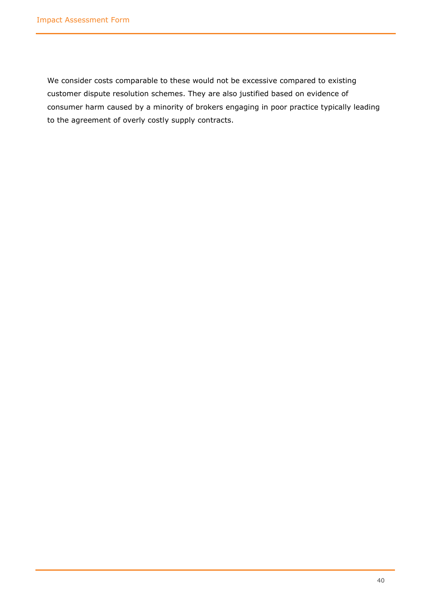We consider costs comparable to these would not be excessive compared to existing customer dispute resolution schemes. They are also justified based on evidence of consumer harm caused by a minority of brokers engaging in poor practice typically leading to the agreement of overly costly supply contracts.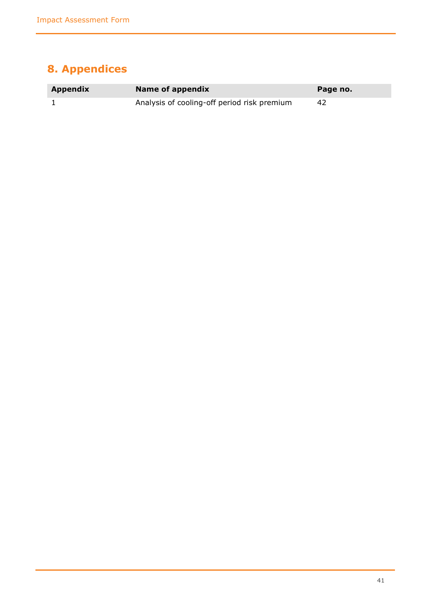# <span id="page-40-0"></span>**8. Appendices**

| Appendix | Name of appendix                            | Page no. |
|----------|---------------------------------------------|----------|
|          | Analysis of cooling-off period risk premium | 42       |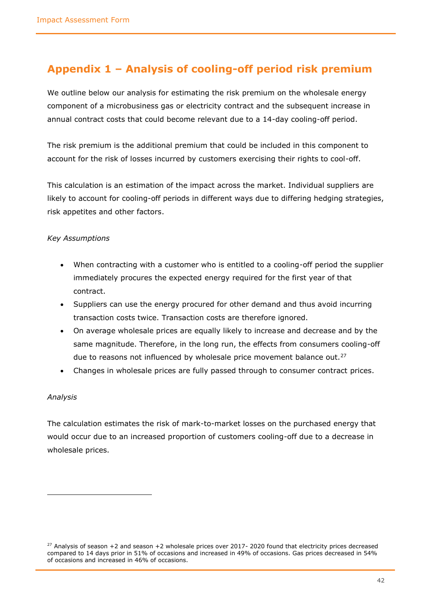# <span id="page-41-0"></span>**Appendix 1 – Analysis of cooling-off period risk premium**

We outline below our analysis for estimating the risk premium on the wholesale energy component of a microbusiness gas or electricity contract and the subsequent increase in annual contract costs that could become relevant due to a 14-day cooling-off period.

The risk premium is the additional premium that could be included in this component to account for the risk of losses incurred by customers exercising their rights to cool-off.

This calculation is an estimation of the impact across the market. Individual suppliers are likely to account for cooling-off periods in different ways due to differing hedging strategies, risk appetites and other factors.

#### *Key Assumptions*

- When contracting with a customer who is entitled to a cooling-off period the supplier immediately procures the expected energy required for the first year of that contract.
- Suppliers can use the energy procured for other demand and thus avoid incurring transaction costs twice. Transaction costs are therefore ignored.
- On average wholesale prices are equally likely to increase and decrease and by the same magnitude. Therefore, in the long run, the effects from consumers cooling-off due to reasons not influenced by wholesale price movement balance out. $27$
- Changes in wholesale prices are fully passed through to consumer contract prices.

#### *Analysis*

The calculation estimates the risk of mark-to-market losses on the purchased energy that would occur due to an increased proportion of customers cooling-off due to a decrease in wholesale prices.

 $27$  Analysis of season +2 and season +2 wholesale prices over 2017-2020 found that electricity prices decreased compared to 14 days prior in 51% of occasions and increased in 49% of occasions. Gas prices decreased in 54% of occasions and increased in 46% of occasions.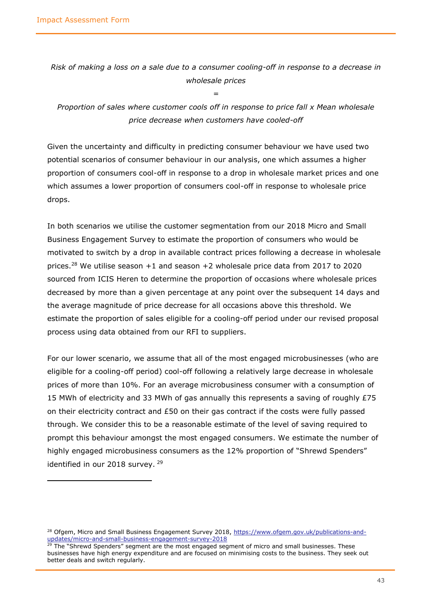*Risk of making a loss on a sale due to a consumer cooling-off in response to a decrease in wholesale prices*

*=*

*Proportion of sales where customer cools off in response to price fall x Mean wholesale price decrease when customers have cooled-off*

Given the uncertainty and difficulty in predicting consumer behaviour we have used two potential scenarios of consumer behaviour in our analysis, one which assumes a higher proportion of consumers cool-off in response to a drop in wholesale market prices and one which assumes a lower proportion of consumers cool-off in response to wholesale price drops.

In both scenarios we utilise the customer segmentation from our 2018 Micro and Small Business Engagement Survey to estimate the proportion of consumers who would be motivated to switch by a drop in available contract prices following a decrease in wholesale prices.<sup>28</sup> We utilise season  $+1$  and season  $+2$  wholesale price data from 2017 to 2020 sourced from ICIS Heren to determine the proportion of occasions where wholesale prices decreased by more than a given percentage at any point over the subsequent 14 days and the average magnitude of price decrease for all occasions above this threshold. We estimate the proportion of sales eligible for a cooling-off period under our revised proposal process using data obtained from our RFI to suppliers.

For our lower scenario, we assume that all of the most engaged microbusinesses (who are eligible for a cooling-off period) cool-off following a relatively large decrease in wholesale prices of more than 10%. For an average microbusiness consumer with a consumption of 15 MWh of electricity and 33 MWh of gas annually this represents a saving of roughly £75 on their electricity contract and £50 on their gas contract if the costs were fully passed through. We consider this to be a reasonable estimate of the level of saving required to prompt this behaviour amongst the most engaged consumers. We estimate the number of highly engaged microbusiness consumers as the 12% proportion of "Shrewd Spenders" identified in our 2018 survey. <sup>29</sup>

<sup>&</sup>lt;sup>28</sup> Ofgem, Micro and Small Business Engagement Survey 2018, [https://www.ofgem.gov.uk/publications-and](https://www.ofgem.gov.uk/publications-and-updates/micro-and-small-business-engagement-survey-2018)[updates/micro-and-small-business-engagement-survey-2018](https://www.ofgem.gov.uk/publications-and-updates/micro-and-small-business-engagement-survey-2018)

The "Shrewd Spenders" segment are the most engaged segment of micro and small businesses. These businesses have high energy expenditure and are focused on minimising costs to the business. They seek out better deals and switch regularly.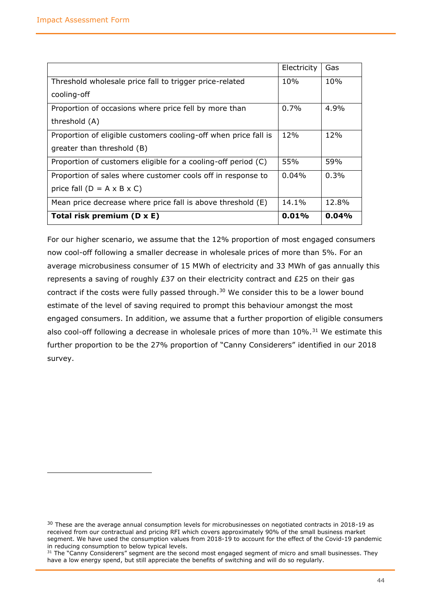|                                                                 | Electricity | Gas   |
|-----------------------------------------------------------------|-------------|-------|
| Threshold wholesale price fall to trigger price-related         | 10%         | 10%   |
| cooling-off                                                     |             |       |
| Proportion of occasions where price fell by more than           | $0.7\%$     | 4.9%  |
| threshold (A)                                                   |             |       |
| Proportion of eligible customers cooling-off when price fall is | 12%         | 12%   |
| greater than threshold (B)                                      |             |       |
| Proportion of customers eligible for a cooling-off period (C)   | 55%         | 59%   |
| Proportion of sales where customer cools off in response to     | $0.04\%$    | 0.3%  |
| price fall $(D = A \times B \times C)$                          |             |       |
| Mean price decrease where price fall is above threshold (E)     | 14.1%       | 12.8% |
| Total risk premium (D x E)                                      | 0.01%       | 0.04% |

For our higher scenario, we assume that the 12% proportion of most engaged consumers now cool-off following a smaller decrease in wholesale prices of more than 5%. For an average microbusiness consumer of 15 MWh of electricity and 33 MWh of gas annually this represents a saving of roughly £37 on their electricity contract and £25 on their gas contract if the costs were fully passed through. $30$  We consider this to be a lower bound estimate of the level of saving required to prompt this behaviour amongst the most engaged consumers. In addition, we assume that a further proportion of eligible consumers also cool-off following a decrease in wholesale prices of more than  $10\%$ .<sup>31</sup> We estimate this further proportion to be the 27% proportion of "Canny Considerers" identified in our 2018 survey.

<sup>&</sup>lt;sup>30</sup> These are the average annual consumption levels for microbusinesses on negotiated contracts in 2018-19 as received from our contractual and pricing RFI which covers approximately 90% of the small business market segment. We have used the consumption values from 2018-19 to account for the effect of the Covid-19 pandemic in reducing consumption to below typical levels.

<sup>&</sup>lt;sup>31</sup> The "Canny Considerers" segment are the second most engaged segment of micro and small businesses. They have a low energy spend, but still appreciate the benefits of switching and will do so regularly.